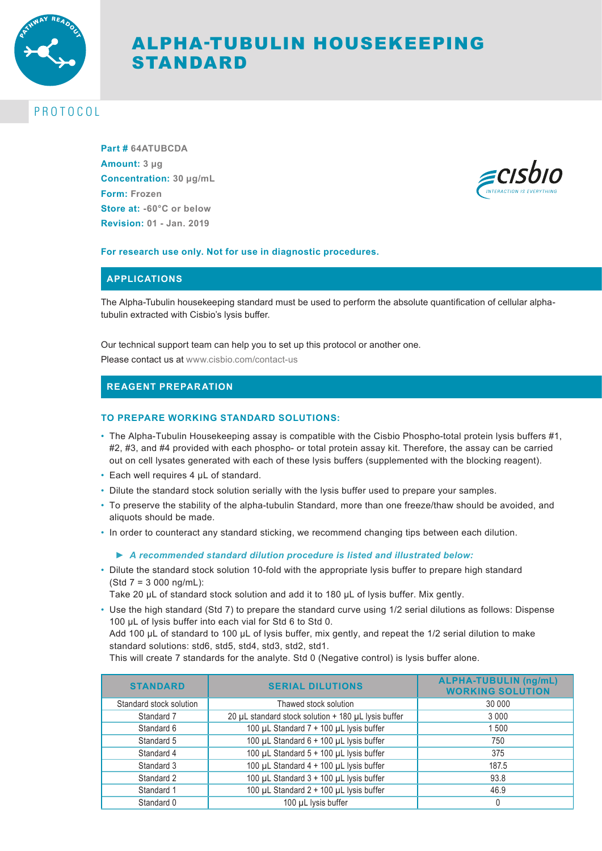

# ALPHA-TUBULIN HOUSEKEEPING STANDARD

## PROTOCOL

**Part # 64ATUBCDA Amount: 3 µg Concentration: 30 µg/mL Form: Frozen Store at: -60°C or below Revision: 01 - Jan. 2019**



#### **For research use only. Not for use in diagnostic procedures.**

### **APPLICATIONS**

The Alpha-Tubulin housekeeping standard must be used to perform the absolute quantification of cellular alphatubulin extracted with Cisbio's lysis buffer.

#### Our technical support team can help you to set up this protocol or another one.

Please contact us at www.cisbio.com/contact-us

## **REAGENT PREPARATION**

#### **TO PREPARE WORKING STANDARD SOLUTIONS:**

- The Alpha-Tubulin Housekeeping assay is compatible with the Cisbio Phospho-total protein lysis buffers #1, #2, #3, and #4 provided with each phospho- or total protein assay kit. Therefore, the assay can be carried out on cell lysates generated with each of these lysis buffers (supplemented with the blocking reagent).
- Each well requires 4 µL of standard.
- Dilute the standard stock solution serially with the lysis buffer used to prepare your samples.
- To preserve the stability of the alpha-tubulin Standard, more than one freeze/thaw should be avoided, and aliquots should be made.
- In order to counteract any standard sticking, we recommend changing tips between each dilution.

#### *► A recommended standard dilution procedure is listed and illustrated below:*

- Dilute the standard stock solution 10-fold with the appropriate lysis buffer to prepare high standard (Std 7 = 3 000 ng/mL):
	- Take 20 µL of standard stock solution and add it to 180 µL of lysis buffer. Mix gently.
- Use the high standard (Std 7) to prepare the standard curve using 1/2 serial dilutions as follows: Dispense 100 µL of lysis buffer into each vial for Std 6 to Std 0.

Add 100 µL of standard to 100 µL of lysis buffer, mix gently, and repeat the 1/2 serial dilution to make standard solutions: std6, std5, std4, std3, std2, std1.

This will create 7 standards for the analyte. Std 0 (Negative control) is lysis buffer alone.

| <b>STANDARD</b>         | <b>SERIAL DILUTIONS</b>                             | <b>ALPHA-TUBULIN (ng/mL)</b><br><b>WORKING SOLUTION</b> |
|-------------------------|-----------------------------------------------------|---------------------------------------------------------|
| Standard stock solution | Thawed stock solution                               | 30 000                                                  |
| Standard 7              | 20 µL standard stock solution + 180 µL lysis buffer | 3000                                                    |
| Standard 6              | 100 µL Standard 7 + 100 µL lysis buffer             | 1500                                                    |
| Standard 5              | 100 µL Standard 6 + 100 µL lysis buffer             | 750                                                     |
| Standard 4              | 100 µL Standard 5 + 100 µL lysis buffer             | 375                                                     |
| Standard 3              | 100 µL Standard 4 + 100 µL lysis buffer             | 187.5                                                   |
| Standard 2              | 100 µL Standard 3 + 100 µL lysis buffer             | 93.8                                                    |
| Standard 1              | 100 µL Standard 2 + 100 µL lysis buffer             | 46.9                                                    |
| Standard 0              | 100 µL lysis buffer                                 |                                                         |